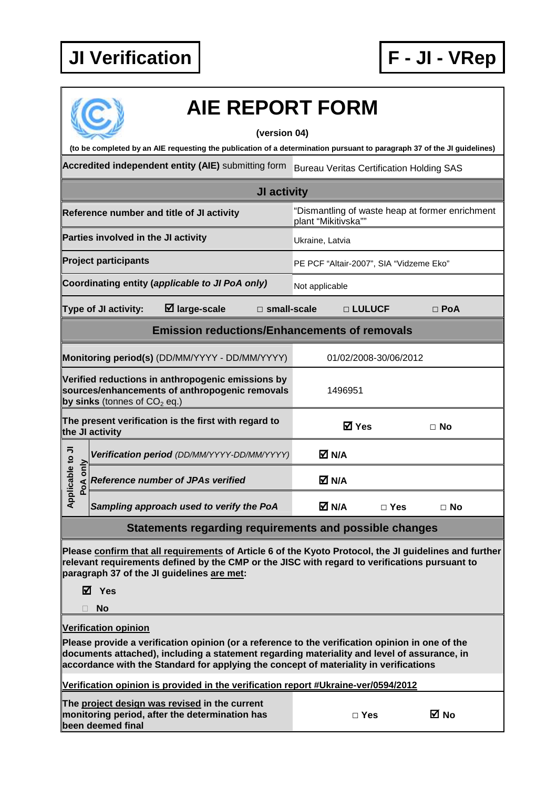

| <b>AIE REPORT FORM</b>                                                                                                                                                                                                                                                                                                 |                                         |                       |            |  |  |  |  |  |
|------------------------------------------------------------------------------------------------------------------------------------------------------------------------------------------------------------------------------------------------------------------------------------------------------------------------|-----------------------------------------|-----------------------|------------|--|--|--|--|--|
| (version 04)                                                                                                                                                                                                                                                                                                           |                                         |                       |            |  |  |  |  |  |
| (to be completed by an AIE requesting the publication of a determination pursuant to paragraph 37 of the JI guidelines)                                                                                                                                                                                                |                                         |                       |            |  |  |  |  |  |
| Accredited independent entity (AIE) submitting form<br><b>Bureau Veritas Certification Holding SAS</b>                                                                                                                                                                                                                 |                                         |                       |            |  |  |  |  |  |
| JI activity                                                                                                                                                                                                                                                                                                            |                                         |                       |            |  |  |  |  |  |
| "Dismantling of waste heap at former enrichment<br>Reference number and title of JI activity<br>plant "Mikitivska""                                                                                                                                                                                                    |                                         |                       |            |  |  |  |  |  |
| Parties involved in the JI activity                                                                                                                                                                                                                                                                                    | Ukraine, Latvia                         |                       |            |  |  |  |  |  |
| <b>Project participants</b>                                                                                                                                                                                                                                                                                            | PE PCF "Altair-2007", SIA "Vidzeme Eko" |                       |            |  |  |  |  |  |
| Coordinating entity (applicable to JI PoA only)                                                                                                                                                                                                                                                                        | Not applicable                          |                       |            |  |  |  |  |  |
| $\boxtimes$ large-scale<br>Type of JI activity:<br>$\Box$ small-scale                                                                                                                                                                                                                                                  |                                         | □ LULUCF              | $\Box$ PoA |  |  |  |  |  |
| <b>Emission reductions/Enhancements of removals</b>                                                                                                                                                                                                                                                                    |                                         |                       |            |  |  |  |  |  |
| Monitoring period(s) (DD/MM/YYYY - DD/MM/YYYY)                                                                                                                                                                                                                                                                         |                                         | 01/02/2008-30/06/2012 |            |  |  |  |  |  |
| Verified reductions in anthropogenic emissions by<br>sources/enhancements of anthropogenic removals<br>by sinks (tonnes of $CO2$ eq.)                                                                                                                                                                                  | 1496951                                 |                       |            |  |  |  |  |  |
| The present verification is the first with regard to<br>the JI activity                                                                                                                                                                                                                                                | <b>☑</b> Yes                            |                       | $\Box$ No  |  |  |  |  |  |
| Verification period (DD/MM/YYYY-DD/MM/YYYY)                                                                                                                                                                                                                                                                            | M N/A                                   |                       |            |  |  |  |  |  |
| Applicable to JI<br>PoA only<br><b>Reference number of JPAs verified</b>                                                                                                                                                                                                                                               | M N/A                                   |                       |            |  |  |  |  |  |
| Sampling approach used to verify the PoA                                                                                                                                                                                                                                                                               | M N/A                                   | $\square$ Yes         | $\Box$ No  |  |  |  |  |  |
| <b>Statements regarding requirements and possible changes</b>                                                                                                                                                                                                                                                          |                                         |                       |            |  |  |  |  |  |
| Please confirm that all requirements of Article 6 of the Kyoto Protocol, the JI guidelines and further<br>relevant requirements defined by the CMP or the JISC with regard to verifications pursuant to<br>paragraph 37 of the JI guidelines are met:<br>$\boxtimes$ Yes                                               |                                         |                       |            |  |  |  |  |  |
| <b>No</b>                                                                                                                                                                                                                                                                                                              |                                         |                       |            |  |  |  |  |  |
| <b>Verification opinion</b><br>Please provide a verification opinion (or a reference to the verification opinion in one of the<br>documents attached), including a statement regarding materiality and level of assurance, in<br>accordance with the Standard for applying the concept of materiality in verifications |                                         |                       |            |  |  |  |  |  |
| Verification opinion is provided in the verification report #Ukraine-ver/0594/2012                                                                                                                                                                                                                                     |                                         |                       |            |  |  |  |  |  |
| The project design was revised in the current<br>monitoring period, after the determination has<br>been deemed final                                                                                                                                                                                                   |                                         | $\Box$ Yes            | ⊠ No       |  |  |  |  |  |